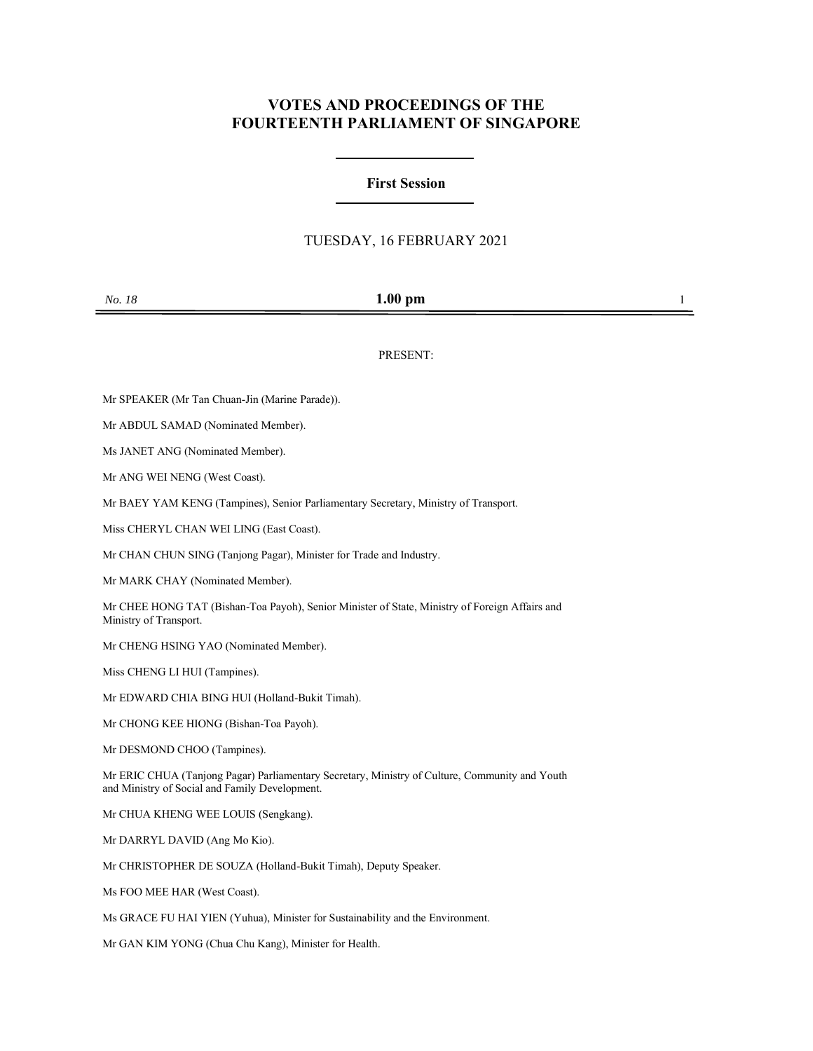## **VOTES AND PROCEEDINGS OF THE FOURTEENTH PARLIAMENT OF SINGAPORE**

## **First Session**

## TUESDAY, 16 FEBRUARY 2021

| <i>No. 18</i> | $1.00$ pm |  |
|---------------|-----------|--|
|               |           |  |

PRESENT:

Mr SPEAKER (Mr Tan Chuan-Jin (Marine Parade)).

Mr ABDUL SAMAD (Nominated Member).

Ms JANET ANG (Nominated Member).

Mr ANG WEI NENG (West Coast).

Mr BAEY YAM KENG (Tampines), Senior Parliamentary Secretary, Ministry of Transport.

Miss CHERYL CHAN WEI LING (East Coast).

Mr CHAN CHUN SING (Tanjong Pagar), Minister for Trade and Industry.

Mr MARK CHAY (Nominated Member).

Mr CHEE HONG TAT (Bishan-Toa Payoh), Senior Minister of State, Ministry of Foreign Affairs and Ministry of Transport.

Mr CHENG HSING YAO (Nominated Member).

Miss CHENG LI HUI (Tampines).

Mr EDWARD CHIA BING HUI (Holland-Bukit Timah).

Mr CHONG KEE HIONG (Bishan-Toa Payoh).

Mr DESMOND CHOO (Tampines).

Mr ERIC CHUA (Tanjong Pagar) Parliamentary Secretary, Ministry of Culture, Community and Youth and Ministry of Social and Family Development.

Mr CHUA KHENG WEE LOUIS (Sengkang).

Mr DARRYL DAVID (Ang Mo Kio).

Mr CHRISTOPHER DE SOUZA (Holland-Bukit Timah), Deputy Speaker.

Ms FOO MEE HAR (West Coast).

Ms GRACE FU HAI YIEN (Yuhua), Minister for Sustainability and the Environment.

Mr GAN KIM YONG (Chua Chu Kang), Minister for Health.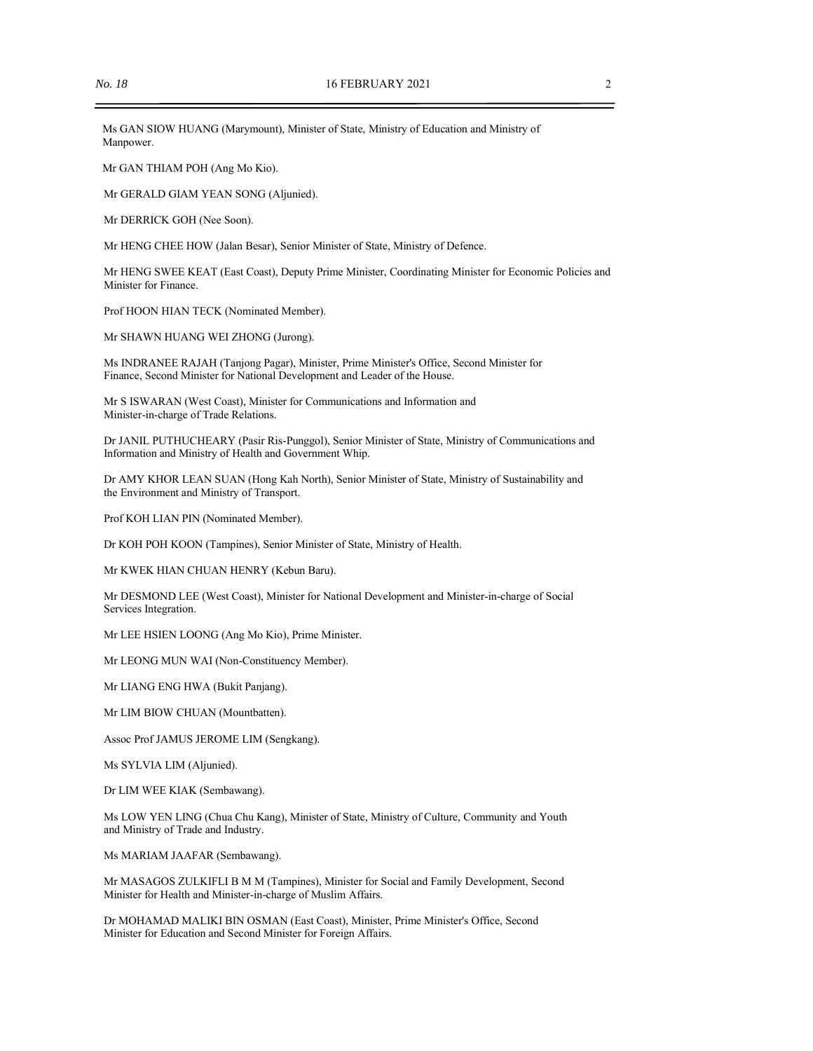Ms GAN SIOW HUANG (Marymount), Minister of State, Ministry of Education and Ministry of Manpower.

Mr GAN THIAM POH (Ang Mo Kio).

Mr GERALD GIAM YEAN SONG (Aljunied).

Mr DERRICK GOH (Nee Soon).

Mr HENG CHEE HOW (Jalan Besar), Senior Minister of State, Ministry of Defence.

Mr HENG SWEE KEAT (East Coast), Deputy Prime Minister, Coordinating Minister for Economic Policies and Minister for Finance.

Prof HOON HIAN TECK (Nominated Member).

Mr SHAWN HUANG WEI ZHONG (Jurong).

Ms INDRANEE RAJAH (Tanjong Pagar), Minister, Prime Minister's Office, Second Minister for Finance, Second Minister for National Development and Leader of the House.

Mr S ISWARAN (West Coast), Minister for Communications and Information and Minister-in-charge of Trade Relations.

Dr JANIL PUTHUCHEARY (Pasir Ris-Punggol), Senior Minister of State, Ministry of Communications and Information and Ministry of Health and Government Whip.

Dr AMY KHOR LEAN SUAN (Hong Kah North), Senior Minister of State, Ministry of Sustainability and the Environment and Ministry of Transport.

Prof KOH LIAN PIN (Nominated Member).

Dr KOH POH KOON (Tampines), Senior Minister of State, Ministry of Health.

Mr KWEK HIAN CHUAN HENRY (Kebun Baru).

Mr DESMOND LEE (West Coast), Minister for National Development and Minister-in-charge of Social Services Integration.

Mr LEE HSIEN LOONG (Ang Mo Kio), Prime Minister.

Mr LEONG MUN WAI (Non-Constituency Member).

Mr LIANG ENG HWA (Bukit Panjang).

Mr LIM BIOW CHUAN (Mountbatten).

Assoc Prof JAMUS JEROME LIM (Sengkang).

Ms SYLVIA LIM (Aljunied).

Dr LIM WEE KIAK (Sembawang).

Ms LOW YEN LING (Chua Chu Kang), Minister of State, Ministry of Culture, Community and Youth and Ministry of Trade and Industry.

Ms MARIAM JAAFAR (Sembawang).

Mr MASAGOS ZULKIFLI B M M (Tampines), Minister for Social and Family Development, Second Minister for Health and Minister-in-charge of Muslim Affairs.

Dr MOHAMAD MALIKI BIN OSMAN (East Coast), Minister, Prime Minister's Office, Second Minister for Education and Second Minister for Foreign Affairs.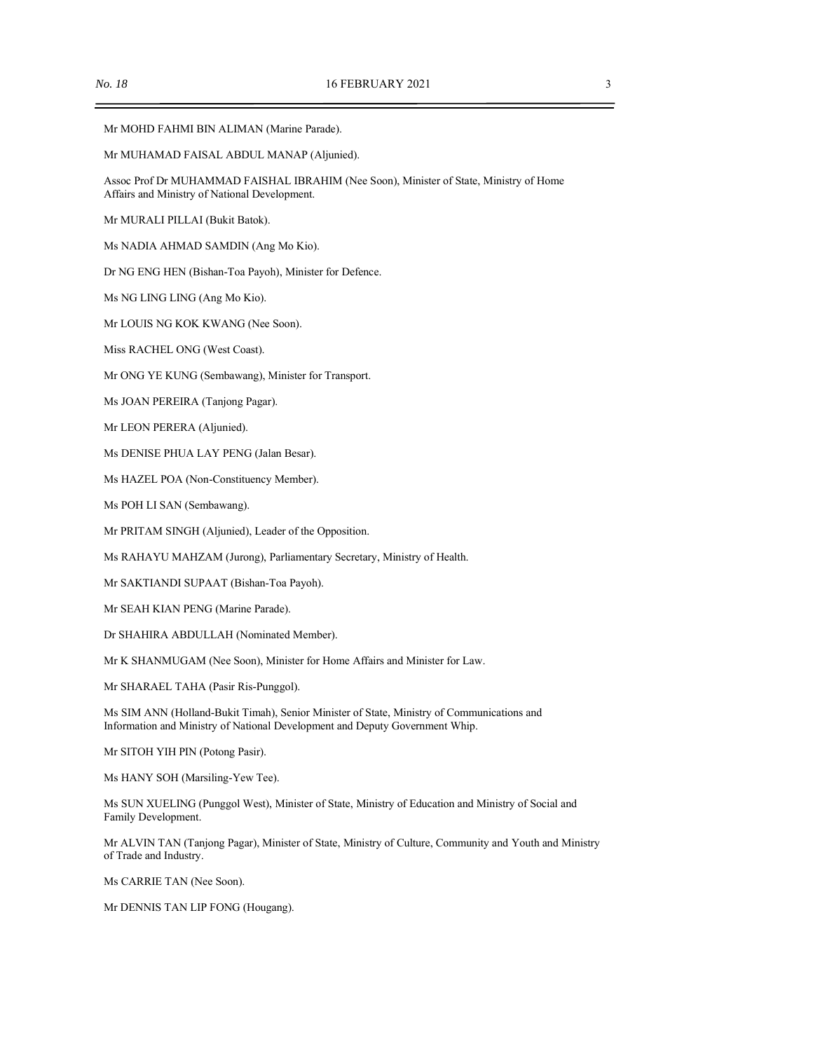Mr MOHD FAHMI BIN ALIMAN (Marine Parade).

Mr MUHAMAD FAISAL ABDUL MANAP (Aljunied).

Assoc Prof Dr MUHAMMAD FAISHAL IBRAHIM (Nee Soon), Minister of State, Ministry of Home Affairs and Ministry of National Development.

Mr MURALI PILLAI (Bukit Batok).

Ms NADIA AHMAD SAMDIN (Ang Mo Kio).

Dr NG ENG HEN (Bishan-Toa Payoh), Minister for Defence.

Ms NG LING LING (Ang Mo Kio).

Mr LOUIS NG KOK KWANG (Nee Soon).

Miss RACHEL ONG (West Coast).

Mr ONG YE KUNG (Sembawang), Minister for Transport.

Ms JOAN PEREIRA (Tanjong Pagar).

Mr LEON PERERA (Aljunied).

Ms DENISE PHUA LAY PENG (Jalan Besar).

Ms HAZEL POA (Non-Constituency Member).

Ms POH LI SAN (Sembawang).

Mr PRITAM SINGH (Aljunied), Leader of the Opposition.

Ms RAHAYU MAHZAM (Jurong), Parliamentary Secretary, Ministry of Health.

Mr SAKTIANDI SUPAAT (Bishan-Toa Payoh).

Mr SEAH KIAN PENG (Marine Parade).

Dr SHAHIRA ABDULLAH (Nominated Member).

Mr K SHANMUGAM (Nee Soon), Minister for Home Affairs and Minister for Law.

Mr SHARAEL TAHA (Pasir Ris-Punggol).

Ms SIM ANN (Holland-Bukit Timah), Senior Minister of State, Ministry of Communications and Information and Ministry of National Development and Deputy Government Whip.

Mr SITOH YIH PIN (Potong Pasir).

Ms HANY SOH (Marsiling-Yew Tee).

Ms SUN XUELING (Punggol West), Minister of State, Ministry of Education and Ministry of Social and Family Development.

Mr ALVIN TAN (Tanjong Pagar), Minister of State, Ministry of Culture, Community and Youth and Ministry of Trade and Industry.

Ms CARRIE TAN (Nee Soon).

Mr DENNIS TAN LIP FONG (Hougang).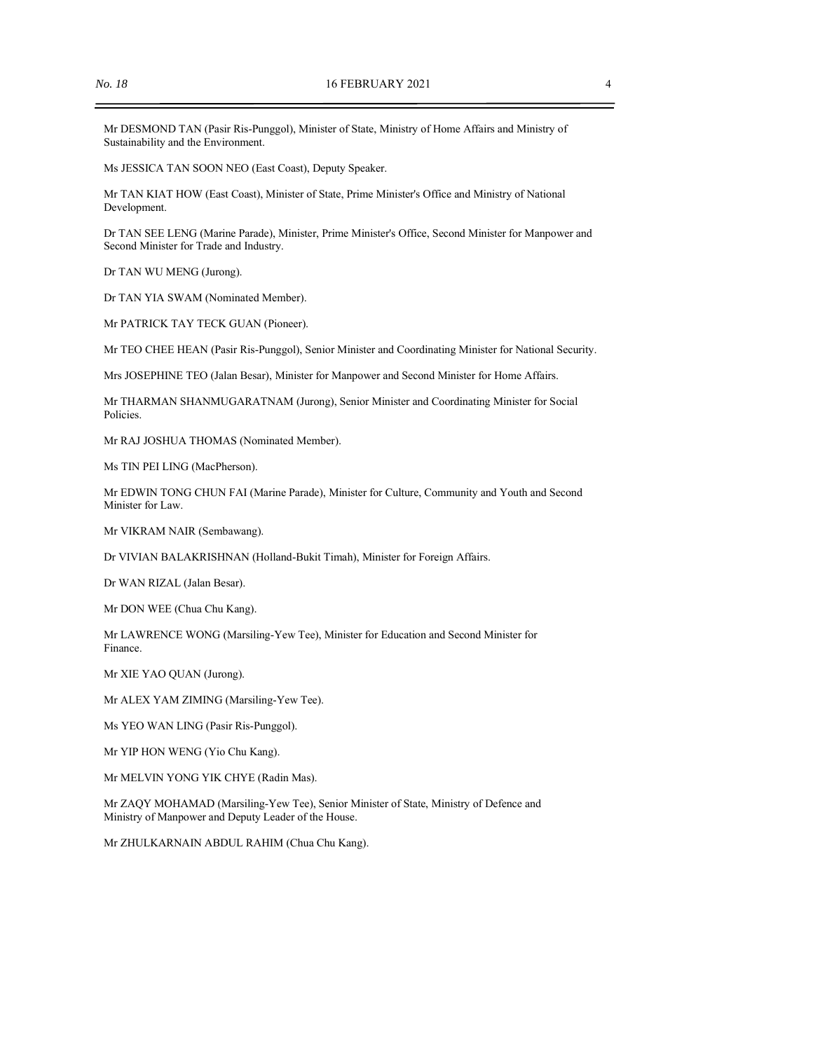Mr DESMOND TAN (Pasir Ris-Punggol), Minister of State, Ministry of Home Affairs and Ministry of Sustainability and the Environment.

Ms JESSICA TAN SOON NEO (East Coast), Deputy Speaker.

Mr TAN KIAT HOW (East Coast), Minister of State, Prime Minister's Office and Ministry of National Development.

Dr TAN SEE LENG (Marine Parade), Minister, Prime Minister's Office, Second Minister for Manpower and Second Minister for Trade and Industry.

Dr TAN WU MENG (Jurong).

Dr TAN YIA SWAM (Nominated Member).

Mr PATRICK TAY TECK GUAN (Pioneer).

Mr TEO CHEE HEAN (Pasir Ris-Punggol), Senior Minister and Coordinating Minister for National Security.

Mrs JOSEPHINE TEO (Jalan Besar), Minister for Manpower and Second Minister for Home Affairs.

Mr THARMAN SHANMUGARATNAM (Jurong), Senior Minister and Coordinating Minister for Social Policies.

Mr RAJ JOSHUA THOMAS (Nominated Member).

Ms TIN PEI LING (MacPherson).

Mr EDWIN TONG CHUN FAI (Marine Parade), Minister for Culture, Community and Youth and Second Minister for Law.

Mr VIKRAM NAIR (Sembawang).

Dr VIVIAN BALAKRISHNAN (Holland-Bukit Timah), Minister for Foreign Affairs.

Dr WAN RIZAL (Jalan Besar).

Mr DON WEE (Chua Chu Kang).

Mr LAWRENCE WONG (Marsiling-Yew Tee), Minister for Education and Second Minister for Finance.

Mr XIE YAO QUAN (Jurong).

Mr ALEX YAM ZIMING (Marsiling-Yew Tee).

Ms YEO WAN LING (Pasir Ris-Punggol).

Mr YIP HON WENG (Yio Chu Kang).

Mr MELVIN YONG YIK CHYE (Radin Mas).

Mr ZAQY MOHAMAD (Marsiling-Yew Tee), Senior Minister of State, Ministry of Defence and Ministry of Manpower and Deputy Leader of the House.

Mr ZHULKARNAIN ABDUL RAHIM (Chua Chu Kang).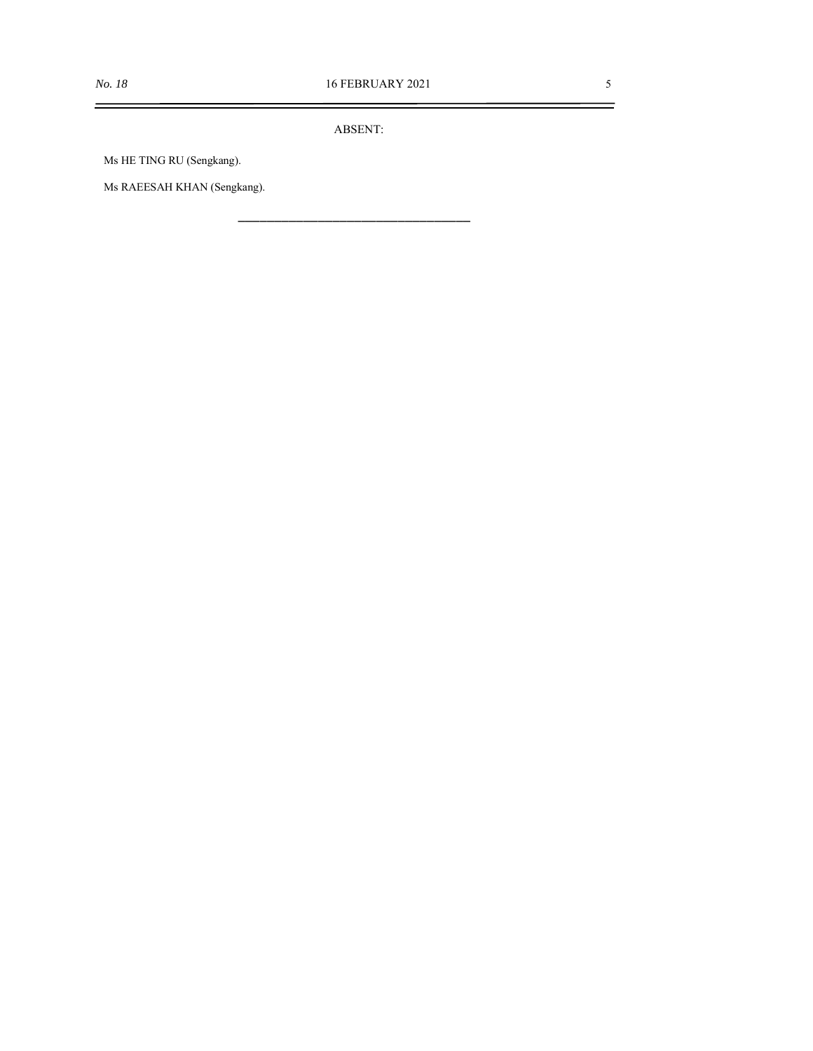$=$ 

ABSENT:

\_\_\_\_\_\_\_\_\_\_\_\_\_\_\_\_\_\_\_\_\_\_\_\_\_\_\_\_\_\_\_\_

Ms HE TING RU (Sengkang).

Ms RAEESAH KHAN (Sengkang).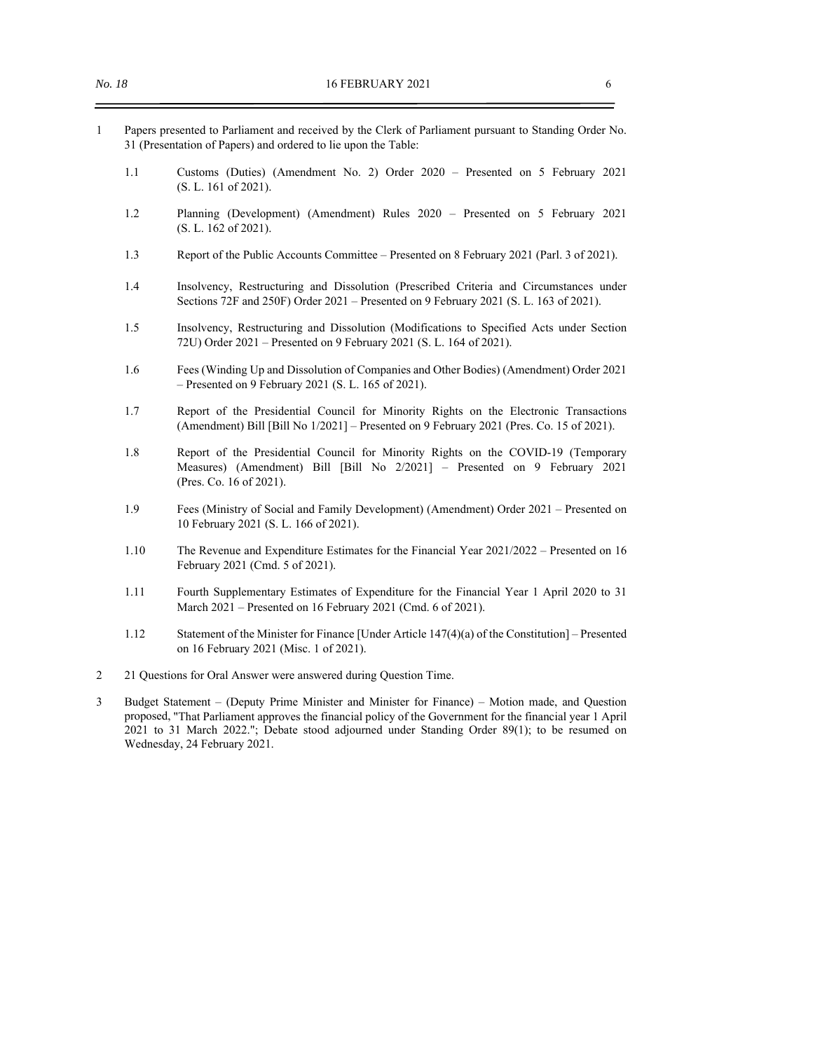- 1 Papers presented to Parliament and received by the Clerk of Parliament pursuant to Standing Order No. 31 (Presentation of Papers) and ordered to lie upon the Table:
	- 1.1 Customs (Duties) (Amendment No. 2) Order 2020 Presented on 5 February 2021 (S. L. 161 of 2021).
	- 1.2 Planning (Development) (Amendment) Rules 2020 Presented on 5 February 2021 (S. L. 162 of 2021).
	- 1.3 Report of the Public Accounts Committee Presented on 8 February 2021 (Parl. 3 of 2021).
	- 1.4 Insolvency, Restructuring and Dissolution (Prescribed Criteria and Circumstances under Sections 72F and 250F) Order 2021 – Presented on 9 February 2021 (S. L. 163 of 2021).
	- 1.5 Insolvency, Restructuring and Dissolution (Modifications to Specified Acts under Section 72U) Order 2021 – Presented on 9 February 2021 (S. L. 164 of 2021).
	- 1.6 Fees (Winding Up and Dissolution of Companies and Other Bodies) (Amendment) Order 2021 – Presented on 9 February 2021 (S. L. 165 of 2021).
	- 1.7 Report of the Presidential Council for Minority Rights on the Electronic Transactions (Amendment) Bill [Bill No 1/2021] – Presented on 9 February 2021 (Pres. Co. 15 of 2021).
	- 1.8 Report of the Presidential Council for Minority Rights on the COVID-19 (Temporary Measures) (Amendment) Bill [Bill No 2/2021] – Presented on 9 February 2021 (Pres. Co. 16 of 2021).
	- 1.9 Fees (Ministry of Social and Family Development) (Amendment) Order 2021 Presented on 10 February 2021 (S. L. 166 of 2021).
	- 1.10 The Revenue and Expenditure Estimates for the Financial Year 2021/2022 Presented on 16 February 2021 (Cmd. 5 of 2021).
	- 1.11 Fourth Supplementary Estimates of Expenditure for the Financial Year 1 April 2020 to 31 March 2021 – Presented on 16 February 2021 (Cmd. 6 of 2021).
	- 1.12 Statement of the Minister for Finance [Under Article 147(4)(a) of the Constitution] Presented on 16 February 2021 (Misc. 1 of 2021).
- 2 21 Questions for Oral Answer were answered during Question Time.
- 3 Budget Statement (Deputy Prime Minister and Minister for Finance) Motion made, and Question proposed, "That Parliament approves the financial policy of the Government for the financial year 1 April 2021 to 31 March 2022."; Debate stood adjourned under Standing Order 89(1); to be resumed on Wednesday, 24 February 2021.